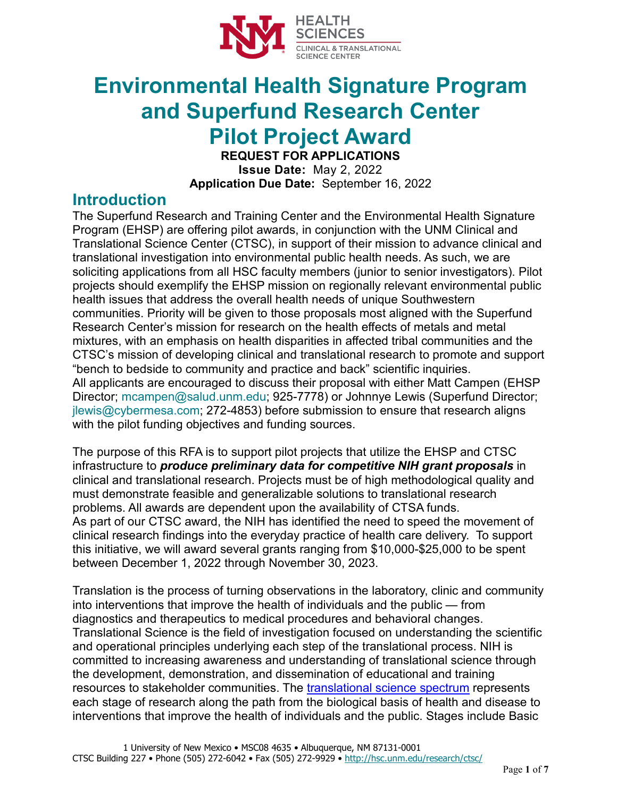

# **Environmental Health Signature Program and Superfund Research Center Pilot Project Award**

**REQUEST FOR APPLICATIONS Issue Date:** May 2, 2022 **Application Due Date:** September 16, 2022

#### **Introduction**

The Superfund Research and Training Center and the Environmental Health Signature Program (EHSP) are offering pilot awards, in conjunction with the UNM Clinical and Translational Science Center (CTSC), in support of their mission to advance clinical and translational investigation into environmental public health needs. As such, we are soliciting applications from all HSC faculty members (junior to senior investigators). Pilot projects should exemplify the EHSP mission on regionally relevant environmental public health issues that address the overall health needs of unique Southwestern communities. Priority will be given to those proposals most aligned with the Superfund Research Center's mission for research on the health effects of metals and metal mixtures, with an emphasis on health disparities in affected tribal communities and the CTSC's mission of developing clinical and translational research to promote and support "bench to bedside to community and practice and back" scientific inquiries. All applicants are encouraged to discuss their proposal with either Matt Campen (EHSP Director; [mcampen@salud.unm.edu;](mailto:mcampen@salud.unm.edu) 925-7778) or Johnnye Lewis (Superfund Director; [jlewis@cybermesa.com;](mailto:jlewis@cybermesa.com) 272-4853) before submission to ensure that research aligns with the pilot funding objectives and funding sources.

The purpose of this RFA is to support pilot projects that utilize the EHSP and CTSC infrastructure to *produce preliminary data for competitive NIH grant proposals* in clinical and translational research. Projects must be of high methodological quality and must demonstrate feasible and generalizable solutions to translational research problems. All awards are dependent upon the availability of CTSA funds. As part of our CTSC award, the NIH has identified the need to speed the movement of clinical research findings into the everyday practice of health care delivery. To support this initiative, we will award several grants ranging from \$10,000-\$25,000 to be spent between December 1, 2022 through November 30, 2023.

Translation is the process of turning observations in the laboratory, clinic and community into interventions that improve the health of individuals and the public — from diagnostics and therapeutics to medical procedures and behavioral changes. Translational Science is the field of investigation focused on understanding the scientific and operational principles underlying each step of the translational process. NIH is committed to increasing awareness and understanding of translational science through the development, demonstration, and dissemination of educational and training resources to stakeholder communities. The [translational science spectrum](https://ncats.nih.gov/translation/spectrum) represents each stage of research along the path from the biological basis of health and disease to interventions that improve the health of individuals and the public. Stages include Basic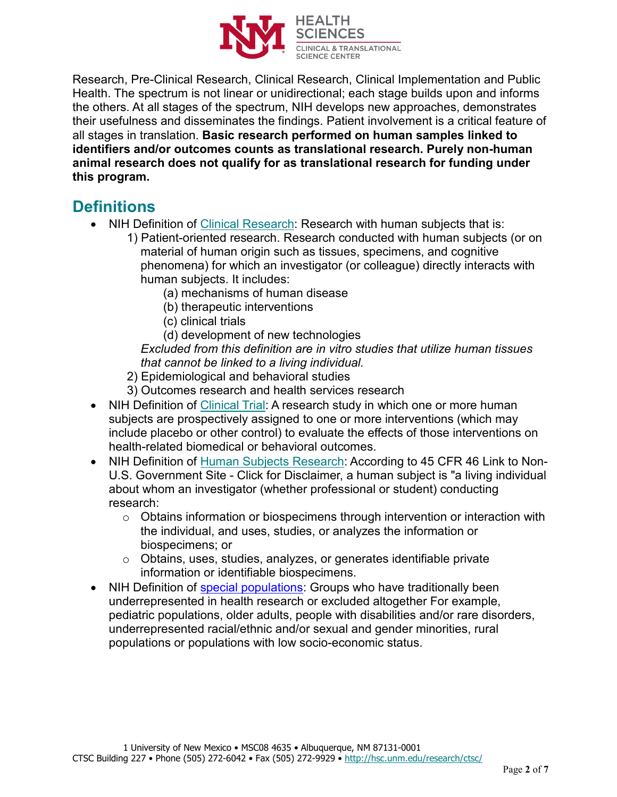

Research, Pre-Clinical Research, Clinical Research, Clinical Implementation and Public Health. The spectrum is not linear or unidirectional; each stage builds upon and informs the others. At all stages of the spectrum, NIH develops new approaches, demonstrates their usefulness and disseminates the findings. Patient involvement is a critical feature of all stages in translation. **Basic research performed on human samples linked to identifiers and/or outcomes counts as translational research. Purely non-human animal research does not qualify for as translational research for funding under this program.**

### **Definitions**

- NIH Definition of [Clinical Research:](https://grants.nih.gov/grants/glossary.htm#C) Research with human subjects that is:
	- 1) Patient-oriented research. Research conducted with human subjects (or on material of human origin such as tissues, specimens, and cognitive phenomena) for which an investigator (or colleague) directly interacts with human subjects. It includes:
		- (a) mechanisms of human disease
		- (b) therapeutic interventions
		- (c) clinical trials
		- (d) development of new technologies

*Excluded from this definition are in vitro studies that utilize human tissues that cannot be linked to a living individual.*

- 2) Epidemiological and behavioral studies
- 3) Outcomes research and health services research
- NIH Definition of [Clinical Trial:](https://grants.nih.gov/policy/clinical-trials/definition.htm) A research study in which one or more human subjects are prospectively assigned to one or more interventions (which may include placebo or other control) to evaluate the effects of those interventions on health-related biomedical or behavioral outcomes.
- NIH Definition of [Human Subjects Research:](https://grants.nih.gov/policy/humansubjects/research.htm) According to 45 CFR 46 Link to Non-U.S. Government Site - Click for Disclaimer, a human subject is "a living individual about whom an investigator (whether professional or student) conducting research:
	- o Obtains information or biospecimens through intervention or interaction with the individual, and uses, studies, or analyzes the information or biospecimens; or
	- o Obtains, uses, studies, analyzes, or generates identifiable private information or identifiable biospecimens.
- NIH Definition of [special populations:](https://grants.nih.gov/grants/guide/notice-files/NOT-OD-20-031.html) Groups who have traditionally been underrepresented in health research or excluded altogether For example, pediatric populations, older adults, people with disabilities and/or rare disorders, underrepresented racial/ethnic and/or sexual and gender minorities, rural populations or populations with low socio-economic status.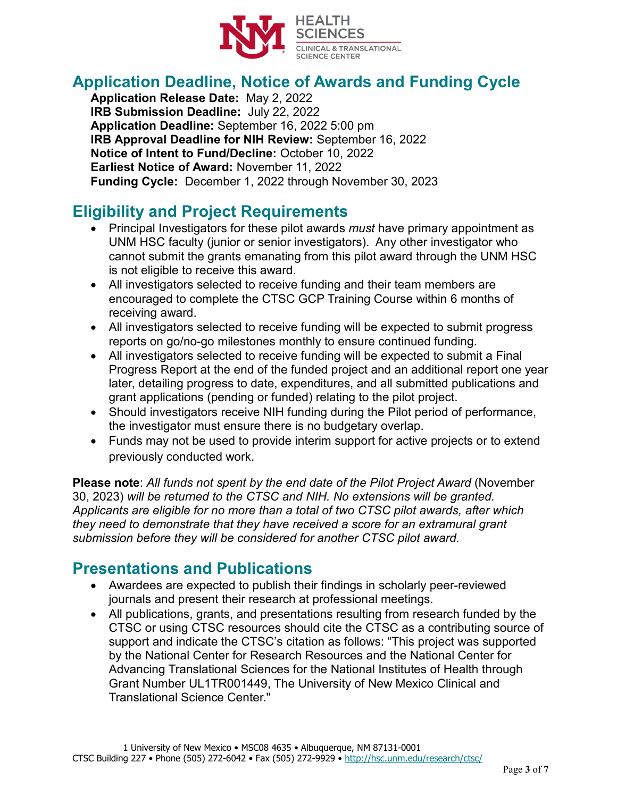

# **Application Deadline, Notice of Awards and Funding Cycle**

**Application Release Date:** May 2, 2022 **IRB Submission Deadline:** July 22, 2022 **Application Deadline:** September 16, 2022 5:00 pm **IRB Approval Deadline for NIH Review:** September 16, 2022 **Notice of Intent to Fund/Decline:** October 10, 2022 **Earliest Notice of Award:** November 11, 2022 **Funding Cycle:** December 1, 2022 through November 30, 2023

# **Eligibility and Project Requirements**

- Principal Investigators for these pilot awards *must* have primary appointment as UNM HSC faculty (junior or senior investigators). Any other investigator who cannot submit the grants emanating from this pilot award through the UNM HSC is not eligible to receive this award.
- All investigators selected to receive funding and their team members are encouraged to complete the CTSC GCP Training Course within 6 months of receiving award.
- All investigators selected to receive funding will be expected to submit progress reports on go/no-go milestones monthly to ensure continued funding.
- All investigators selected to receive funding will be expected to submit a Final Progress Report at the end of the funded project and an additional report one year later, detailing progress to date, expenditures, and all submitted publications and grant applications (pending or funded) relating to the pilot project.
- Should investigators receive NIH funding during the Pilot period of performance, the investigator must ensure there is no budgetary overlap.
- Funds may not be used to provide interim support for active projects or to extend previously conducted work.

**Please note**: *All funds not spent by the end date of the Pilot Project Award* (November 30, 2023) *will be returned to the CTSC and NIH. No extensions will be granted. Applicants are eligible for no more than a total of two CTSC pilot awards, after which they need to demonstrate that they have received a score for an extramural grant submission before they will be considered for another CTSC pilot award.*

#### **Presentations and Publications**

- Awardees are expected to publish their findings in scholarly peer-reviewed journals and present their research at professional meetings.
- All publications, grants, and presentations resulting from research funded by the CTSC or using CTSC resources should cite the CTSC as a contributing source of support and indicate the CTSC's citation as follows: "This project was supported by the National Center for Research Resources and the National Center for Advancing Translational Sciences for the National Institutes of Health through Grant Number UL1TR001449, The University of New Mexico Clinical and Translational Science Center."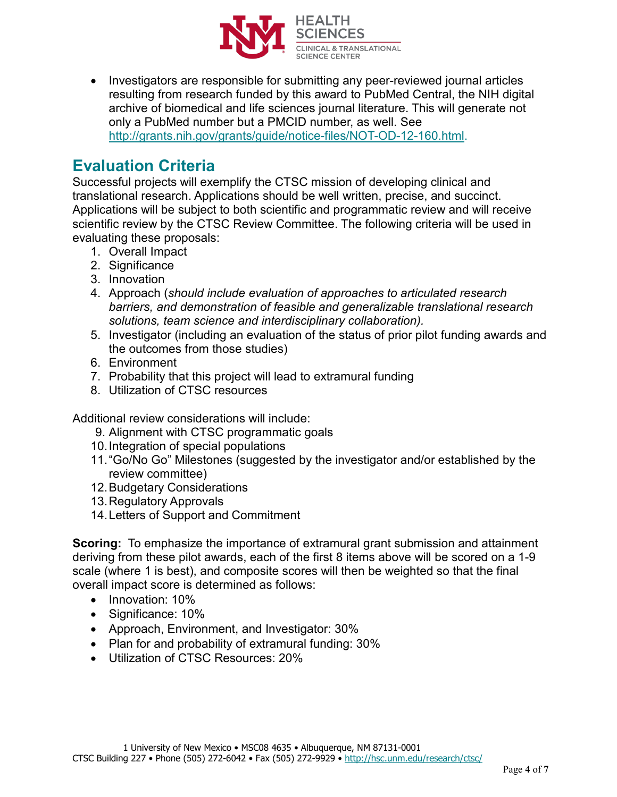

• Investigators are responsible for submitting any peer-reviewed journal articles resulting from research funded by this award to PubMed Central, the NIH digital archive of biomedical and life sciences journal literature. This will generate not only a PubMed number but a PMCID number, as well. See [http://grants.nih.gov/grants/guide/notice-files/NOT-OD-12-160.html.](http://grants.nih.gov/grants/guide/notice-files/NOT-OD-12-160.html)

#### **Evaluation Criteria**

Successful projects will exemplify the CTSC mission of developing clinical and translational research. Applications should be well written, precise, and succinct. Applications will be subject to both scientific and programmatic review and will receive scientific review by the CTSC Review Committee. The following criteria will be used in evaluating these proposals:

- 1. Overall Impact
- 2. Significance
- 3. Innovation
- 4. Approach (*should include evaluation of approaches to articulated research barriers, and demonstration of feasible and generalizable translational research solutions, team science and interdisciplinary collaboration).*
- 5. Investigator (including an evaluation of the status of prior pilot funding awards and the outcomes from those studies)
- 6. Environment
- 7. Probability that this project will lead to extramural funding
- 8. Utilization of CTSC resources

Additional review considerations will include:

- 9. Alignment with CTSC programmatic goals
- 10.Integration of special populations
- 11. "Go/No Go" Milestones (suggested by the investigator and/or established by the review committee)
- 12.Budgetary Considerations
- 13.Regulatory Approvals
- 14.Letters of Support and Commitment

**Scoring:** To emphasize the importance of extramural grant submission and attainment deriving from these pilot awards, each of the first 8 items above will be scored on a 1-9 scale (where 1 is best), and composite scores will then be weighted so that the final overall impact score is determined as follows:

- Innovation: 10%
- Significance: 10%
- Approach, Environment, and Investigator: 30%
- Plan for and probability of extramural funding: 30%
- Utilization of CTSC Resources: 20%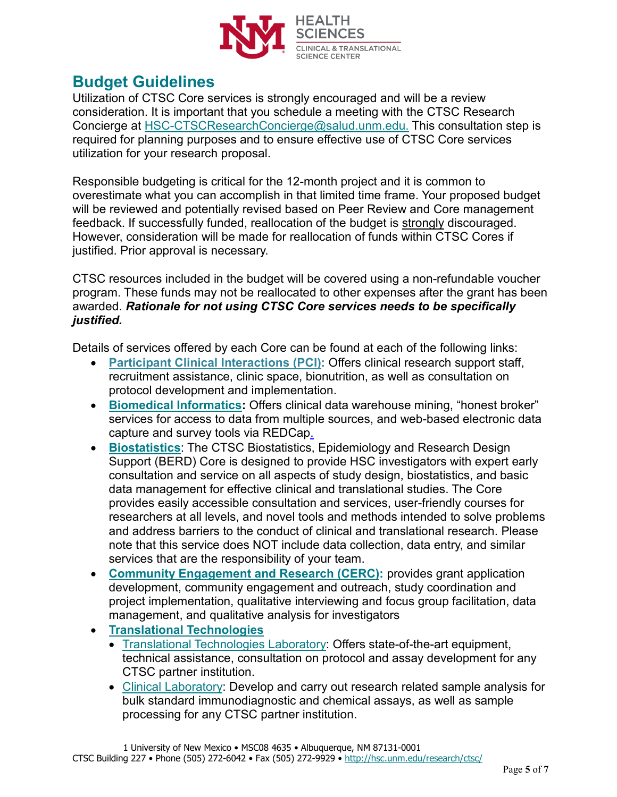

#### **Budget Guidelines**

Utilization of CTSC Core services is strongly encouraged and will be a review consideration. It is important that you schedule a meeting with the CTSC Research Concierge at [HSC-CTSCResearchConcierge@salud.unm.edu.](mailto:HSC-CTSCResearchConcierge@salud.unm.edu) This consultation step is required for planning purposes and to ensure effective use of CTSC Core services utilization for your research proposal.

Responsible budgeting is critical for the 12-month project and it is common to overestimate what you can accomplish in that limited time frame. Your proposed budget will be reviewed and potentially revised based on Peer Review and Core management feedback. If successfully funded, reallocation of the budget is strongly discouraged. However, consideration will be made for reallocation of funds within CTSC Cores if justified. Prior approval is necessary.

CTSC resources included in the budget will be covered using a non-refundable voucher program. These funds may not be reallocated to other expenses after the grant has been awarded. *Rationale for not using CTSC Core services needs to be specifically justified.*

Details of services offered by each Core can be found at each of the following links:

- **[Participant Clinical Interactions \(PCI\):](https://hsc.unm.edu/ctsc/services/participant-clinical-interactions/)** Offers clinical research support staff, recruitment assistance, clinic space, bionutrition, as well as consultation on protocol development and implementation.
- **[Biomedical Informatics:](http://hsc.unm.edu/research/ctsc/informatics/index.html)** Offers clinical data warehouse mining, "honest broker" services for access to data from multiple sources, and web-based electronic data capture and survey tools via REDCap.
- **[Biostatistics](http://hsc.unm.edu/research/ctsc/biostatistics/index.html)**: The CTSC Biostatistics, Epidemiology and Research Design Support (BERD) Core is designed to provide HSC investigators with expert early consultation and service on all aspects of study design, biostatistics, and basic data management for effective clinical and translational studies. The Core provides easily accessible consultation and services, user-friendly courses for researchers at all levels, and novel tools and methods intended to solve problems and address barriers to the conduct of clinical and translational research. Please note that this service does NOT include data collection, data entry, and similar services that are the responsibility of your team.
- **[Community Engagement and Research \(CERC\):](https://hsc.unm.edu/ctsc/services/cerc/)** provides grant application development, community engagement and outreach, study coordination and project implementation, qualitative interviewing and focus group facilitation, data management, and qualitative analysis for investigators
- **[Translational Technologies](http://hsc.unm.edu/research/ctsc/translational-and-clinical-laboratories/index.html)**
	- [Translational Technologies Laboratory:](http://hsc.unm.edu/research/ctsc/translational-and-clinical-laboratories/translational-laboratory/index.html) Offers state-of-the-art equipment, technical assistance, consultation on protocol and assay development for any CTSC partner institution.
	- [Clinical Laboratory:](http://hsc.unm.edu/research/ctsc/translational-and-clinical-laboratories/clinical-laboratory/index.html) Develop and carry out research related sample analysis for bulk standard immunodiagnostic and chemical assays, as well as sample processing for any CTSC partner institution.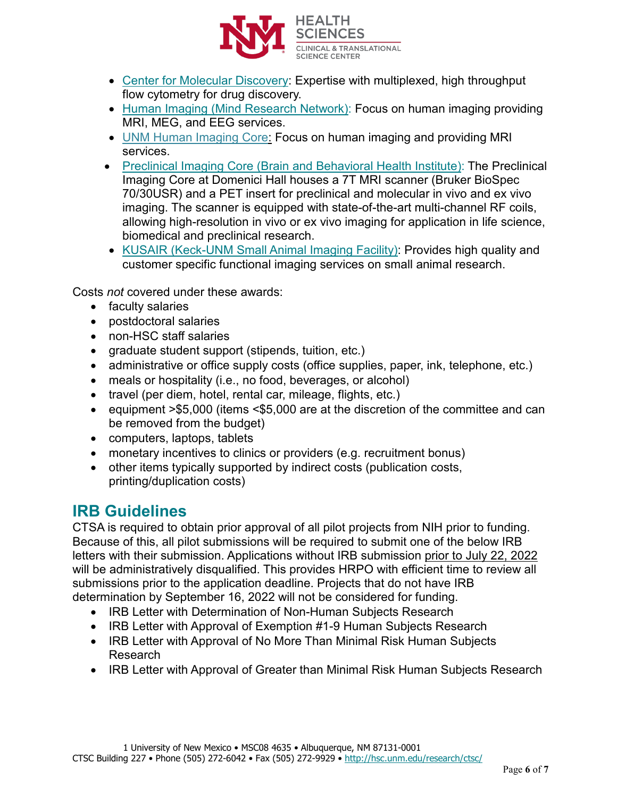

- [Center for Molecular Discovery:](http://nmmlsc.health.unm.edu/) Expertise with multiplexed, high throughput flow cytometry for drug discovery.
- [Human Imaging \(Mind](https://www.mrn.org/collaborate/imaging-services-and-capabilities) Research Network): Focus on human imaging providing MRI, MEG, and EEG services.
- [UNM Human Imaging Core:](https://hsc.unm.edu/research/hirc/index.html) Focus on human imaging and providing MRI services.
- [Preclinical Imaging Core \(Brain and Behavioral Health Institute\):](https://hsc.unm.edu/research/centers-programs/bbhi/bbhi-research-programs/bbhi-preclinical-core.html) The Preclinical Imaging Core at Domenici Hall houses a 7T MRI scanner (Bruker BioSpec 70/30USR) and a PET insert for preclinical and molecular in vivo and ex vivo imaging. The scanner is equipped with state-of-the-art multi-channel RF coils, allowing high-resolution in vivo or ex vivo imaging for application in life science, biomedical and preclinical research.
- [KUSAIR \(Keck-UNM Small Animal Imaging Facility\):](http://kusair.unm.edu/) Provides high quality and customer specific functional imaging services on small animal research.

Costs *not* covered under these awards:

- faculty salaries
- postdoctoral salaries
- non-HSC staff salaries
- graduate student support (stipends, tuition, etc.)
- administrative or office supply costs (office supplies, paper, ink, telephone, etc.)
- meals or hospitality (i.e., no food, beverages, or alcohol)
- travel (per diem, hotel, rental car, mileage, flights, etc.)
- equipment >\$5,000 (items <\$5,000 are at the discretion of the committee and can be removed from the budget)
- computers, laptops, tablets
- monetary incentives to clinics or providers (e.g. recruitment bonus)
- other items typically supported by indirect costs (publication costs, printing/duplication costs)

#### **IRB Guidelines**

CTSA is required to obtain prior approval of all pilot projects from NIH prior to funding. Because of this, all pilot submissions will be required to submit one of the below IRB letters with their submission. Applications without IRB submission prior to July 22, 2022 will be administratively disqualified. This provides HRPO with efficient time to review all submissions prior to the application deadline. Projects that do not have IRB determination by September 16, 2022 will not be considered for funding.

- IRB Letter with Determination of Non-Human Subjects Research
- IRB Letter with Approval of Exemption #1-9 Human Subjects Research
- IRB Letter with Approval of No More Than Minimal Risk Human Subjects Research
- IRB Letter with Approval of Greater than Minimal Risk Human Subjects Research